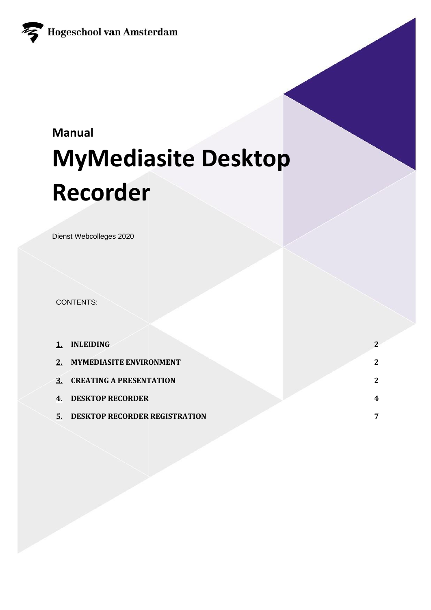

# **Manual MyMediasite Desktop Recorder**

Dienst Webcolleges 2020

CONTENTS:

|    | <b>INLEIDING</b>                     |   |
|----|--------------------------------------|---|
| 2. | <b>MYMEDIASITE ENVIRONMENT</b>       | 2 |
| 3. | <b>CREATING A PRESENTATION</b>       | 2 |
|    | <b>DESKTOP RECORDER</b>              | 4 |
| 5. | <b>DESKTOP RECORDER REGISTRATION</b> | 7 |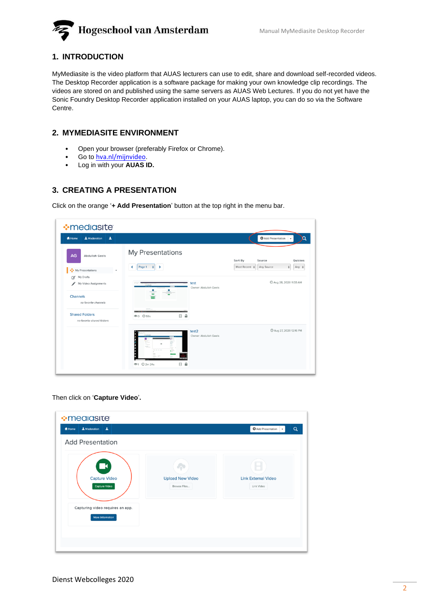

# **1. INTRODUCTION**

MyMediasite is the video platform that AUAS lecturers can use to edit, share and download self-recorded videos. The Desktop Recorder application is a software package for making your own knowledge clip recordings. The videos are stored on and published using the same servers as AUAS Web Lectures. If you do not yet have the Sonic Foundry Desktop Recorder application installed on your AUAS laptop, you can do so via the Software Centre.

# **2. MYMEDIASITE ENVIRONMENT**

- Open your browser (preferably Firefox or Chrome).
- Go to hva.nl/mijnvideo.
- Log in with your **AUAS ID.**

# **3. CREATING A PRESENTATION**

Click on the orange '**+ Add Presentation**' button at the top right in the menu bar.

| $\blacktriangle$<br>A Moderation<br>A Home          |                                | Add Presentation                                      |
|-----------------------------------------------------|--------------------------------|-------------------------------------------------------|
| AG<br><b>Abdullah Geels</b>                         | My Presentations               | Sort By<br>Source<br>Quizzes                          |
| My Presentations                                    | Page 1 $\div$ ><br>K           | Any $\div$<br>Most Recent $\div$ Any Source<br>$\div$ |
| My Drafts<br>α<br>∕<br>My Video Assignments         | test<br>Owner: Abdullah Geels  | 4 Aug 28, 2020 11:33 AM                               |
| Channels<br>no favorite channels                    |                                |                                                       |
| <b>Shared Folders</b><br>no favorite shared folders | $B$ a<br><b>®0 ⊙59s</b>        |                                                       |
|                                                     | test2<br>Owner: Abdullah Geels | 4 Aug 27, 2020 12:16 PM                               |

Then click on '**Capture Video**'**.**

| $\cdot$ mealasite<br>$\blacktriangle$<br>1 Moderation<br><del>n</del> Home                                             |                                         | Add Presentation<br>$\alpha$<br>٠             |
|------------------------------------------------------------------------------------------------------------------------|-----------------------------------------|-----------------------------------------------|
| <b>Add Presentation</b>                                                                                                |                                         |                                               |
| $\blacksquare$<br><b>Capture Video</b><br><b>Capture Video</b><br>Capturing video requires an app.<br>More Information | <b>Upload New Video</b><br>Browse Files | H<br><b>Link External Video</b><br>Link Video |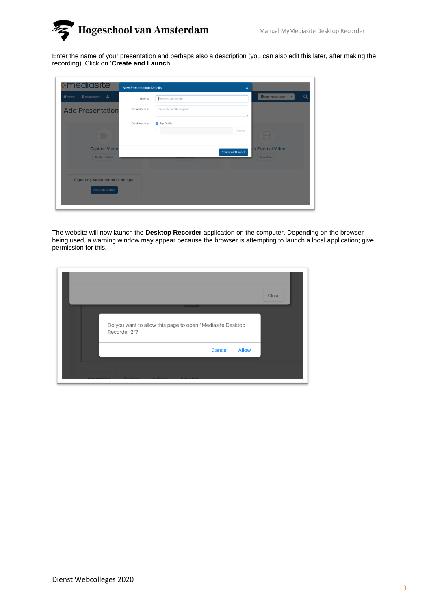

Enter the name of your presentation and perhaps also a description (you can also edit this later, after making the recording). Click on '**Create and Launch**'

| <b>A</b> mediasite               | <b>New Presentation Details</b>          | $\boldsymbol{\mathsf{x}}$                     |          |
|----------------------------------|------------------------------------------|-----------------------------------------------|----------|
| & Moderation<br># Home<br>丄      | Presentation Name<br>Name:               | Add Presentation                              | $\Omega$ |
| <b>Add Presentation</b>          | Description:<br>Presentation Description |                                               |          |
|                                  | My Drafts<br>Destination:                |                                               |          |
| <b>Ex</b>                        | 0                                        | Change<br>⊟                                   |          |
| <b>Capture Video</b>             |                                          | <b>nk External Video</b><br>Create and Launch |          |
| Capture Video                    |                                          | Link Video                                    |          |
| Capturing video requires an app. |                                          |                                               |          |
| More Information                 |                                          |                                               |          |

The website will now launch the **Desktop Recorder** application on the computer. Depending on the browser being used, a warning window may appear because the browser is attempting to launch a local application; give permission for this.

|                                                                                                                | Close |
|----------------------------------------------------------------------------------------------------------------|-------|
| <b>Contract Contract Contract</b><br>Do you want to allow this page to open "Mediasite Desktop<br>Recorder 2"? |       |
| Cancel<br><b>Allow</b>                                                                                         |       |
|                                                                                                                |       |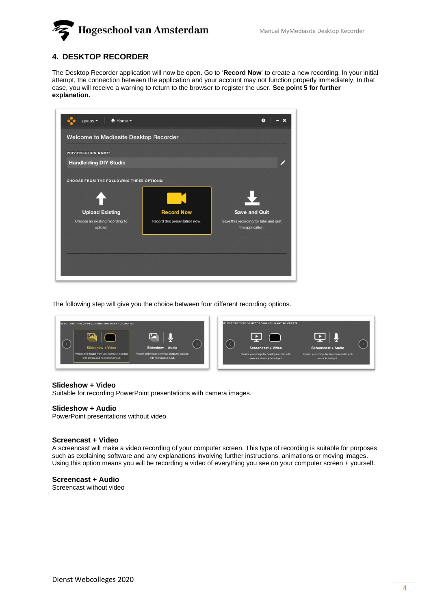

### **4. DESKTOP RECORDER**

The Desktop Recorder application will now be open. Go to '**Record Now**' to create a new recording. In your initial attempt, the connection between the application and your account may not function properly immediately. In that case, you will receive a warning to return to the browser to register the user. **See point 5 for further explanation.**



The following step will give you the choice between four different recording options.



#### **Slideshow + Video**

Suitable for recording PowerPoint presentations with camera images.

#### **Slideshow + Audio**

PowerPoint presentations without video.

#### **Screencast + Video**

A screencast will make a video recording of your computer screen. This type of recording is suitable for purposes such as explaining software and any explanations involving further instructions, animations or moving images. Using this option means you will be recording a video of everything you see on your computer screen + yourself.

#### **Screencast + Audio**

Screencast without video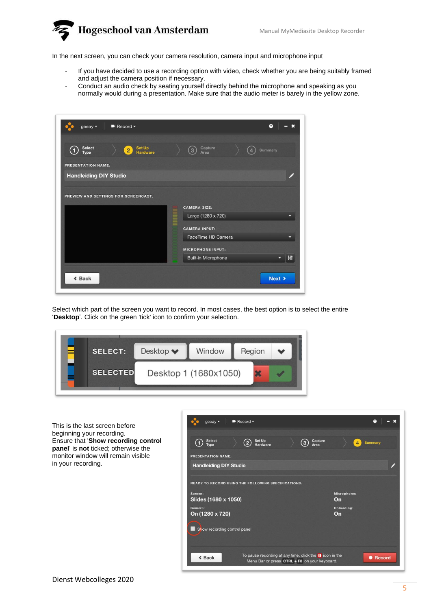

In the next screen, you can check your camera resolution, camera input and microphone input

- If you have decided to use a recording option with video, check whether you are being suitably framed and adjust the camera position if necessary.
- Conduct an audio check by seating yourself directly behind the microphone and speaking as you normally would during a presentation. Make sure that the audio meter is barely in the yellow zone.

| Record -<br>geeay $\blacktriangledown$               | $\bullet$                                                                               |
|------------------------------------------------------|-----------------------------------------------------------------------------------------|
| Set Up<br>Hardware<br>Select<br>Type<br>$\mathbf{2}$ | Capture<br>3<br><b>Summary</b><br>Area                                                  |
| <b>PRESENTATION NAME:</b>                            |                                                                                         |
| <b>Handleiding DIY Studio</b>                        |                                                                                         |
| PREVIEW AND SETTINGS FOR SCREENCAST:                 | <b>CAMERA SIZE:</b><br>Large (1280 x 720)<br><b>CAMERA INPUT:</b><br>FaceTime HD Camera |
|                                                      | <b>MICROPHONE INPUT:</b>                                                                |
|                                                      | 椭<br><b>Built-in Microphone</b>                                                         |
| « Back                                               | Next >                                                                                  |

Select which part of the screen you want to record. In most cases, the best option is to select the entire 'Desktop'. Click on the green 'tick' icon to confirm your selection.



This is the last screen before beginning your recording. Ensure that '**Show recording control panel**' is **not** ticked; otherwise the monitor window will remain visible in your recording.

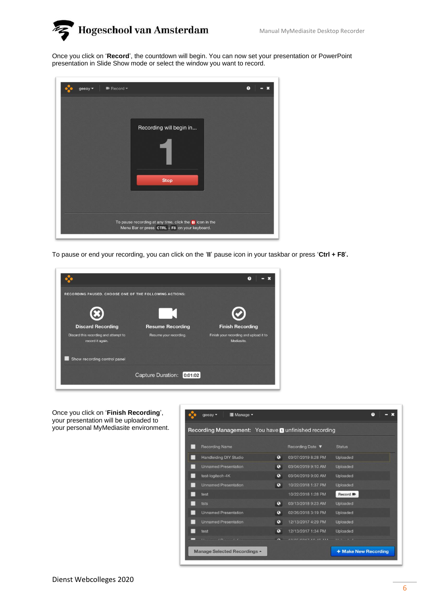

Once you click on '**Record**', the countdown will begin. You can now set your presentation or PowerPoint presentation in Slide Show mode or select the window you want to record.

| Record *<br>geeay $\star$ |                                                                 | $\Omega$ |
|---------------------------|-----------------------------------------------------------------|----------|
|                           | Recording will begin in                                         |          |
|                           | <b>Stop</b>                                                     |          |
|                           | To pause recording at any time, click the <b>II</b> icon in the |          |
|                           | Menu Bar or press CTRL + F8 on your keyboard.                   |          |

To pause or end your recording, you can click on the '**II**' pause icon in your taskbar or press '**Ctrl + F8**'**.**



Once you click on '**Finish Recording**', your presentation will be uploaded to your personal MyMediasite environment.